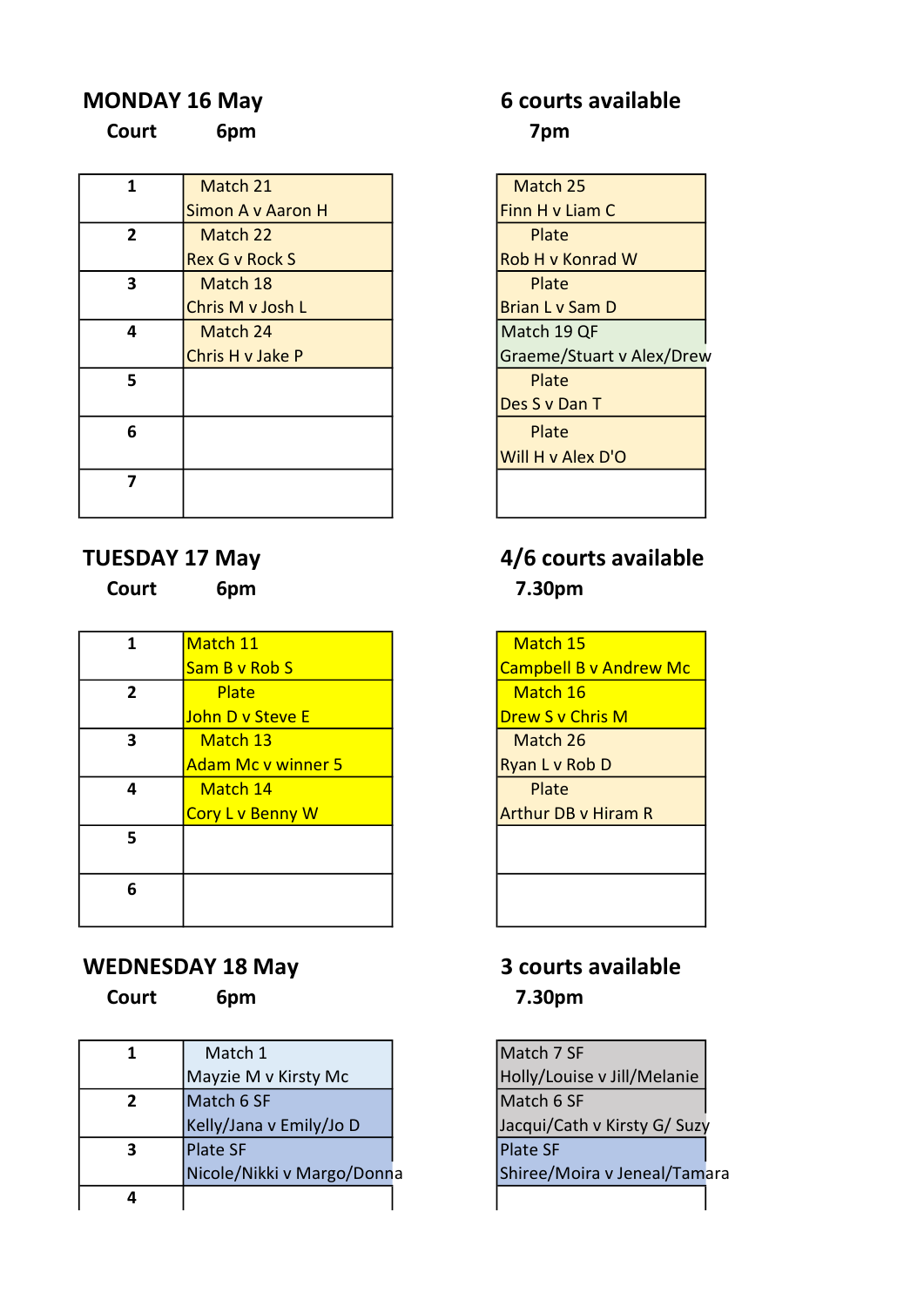Court 6pm 7pm

| 1              | Match 21              | Match 25               |
|----------------|-----------------------|------------------------|
|                | Simon A v Aaron H     | Finn H v Liam C        |
| $\overline{2}$ | Match 22              | Plate                  |
|                | <b>Rex G v Rock S</b> | Rob H v Konrad W       |
| 3              | Match 18              | Plate                  |
|                | Chris M v Josh L      | <b>Brian L v Sam D</b> |
| 4              | Match 24              | Match 19 QF            |
|                | Chris H v Jake P      | Graeme/Stuart v A      |
| 5              |                       | Plate                  |
|                |                       | Des S v Dan T          |
| 6              |                       | Plate                  |
|                |                       | Will H v Alex D'O      |
| 7              |                       |                        |
|                |                       |                        |

| opm |  |
|-----|--|
|     |  |
|     |  |
|     |  |

|              | Match 11                  | Match 1          |
|--------------|---------------------------|------------------|
|              | Sam B v Rob S             | <b>Campbell</b>  |
| $\mathbf{2}$ | Plate                     | Match :          |
|              | John D v Steve E          | Drew S v         |
| 3            | Match 13                  | Match 2          |
|              | <b>Adam Mc v winner 5</b> | Ryan L v F       |
| 4            | Match 14                  | Plate            |
|              | Cory L v Benny W          | <b>Arthur DE</b> |
| 5            |                           |                  |
|              |                           |                  |
| 6            |                           |                  |
|              |                           |                  |
|              |                           |                  |

### WEDNESDAY 18 May 3 courts available

|   | Match 1                    |
|---|----------------------------|
|   | Mayzie M v Kirsty Mc       |
| 2 | Match 6 SF                 |
|   | Kelly/Jana v Emily/Jo D    |
|   | <b>Plate SF</b>            |
|   | Nicole/Nikki v Margo/Donna |
|   |                            |

# MONDAY 16 May 6 courts available

| Match 21              | Match 25                  |
|-----------------------|---------------------------|
| Simon A v Aaron H     | Finn H v Liam C           |
| Match 22              | Plate                     |
| <b>Rex G v Rock S</b> | Rob H v Konrad W          |
| Match 18              | Plate                     |
| Chris M v Josh L      | Brian L v Sam D           |
| Match 24              | Match 19 QF               |
| Chris H v Jake P      | Graeme/Stuart v Alex/Drew |
|                       | Plate                     |
|                       | Des S v Dan T             |
|                       | Plate                     |
|                       | Will H v Alex D'O         |
|                       |                           |
|                       |                           |

# TUESDAY 17 May 19th 19th 19th 4/6 courts available Court 6pm 7.30pm

Match 15 **Campbell B v Andrew Mc** Match 16 Drew S v Chris M Match 26 Ryan L v Rob D Arthur DB v Hiram R

# Court 6pm 7.30pm

Match 7 SF Holly/Louise v Jill/Melanie  $Match 6 SF$ Jacqui/Cath v Kirsty G/ Suzy Plate SF a **Nicole 18 Shiree/Moira v Jeneal/Tamara**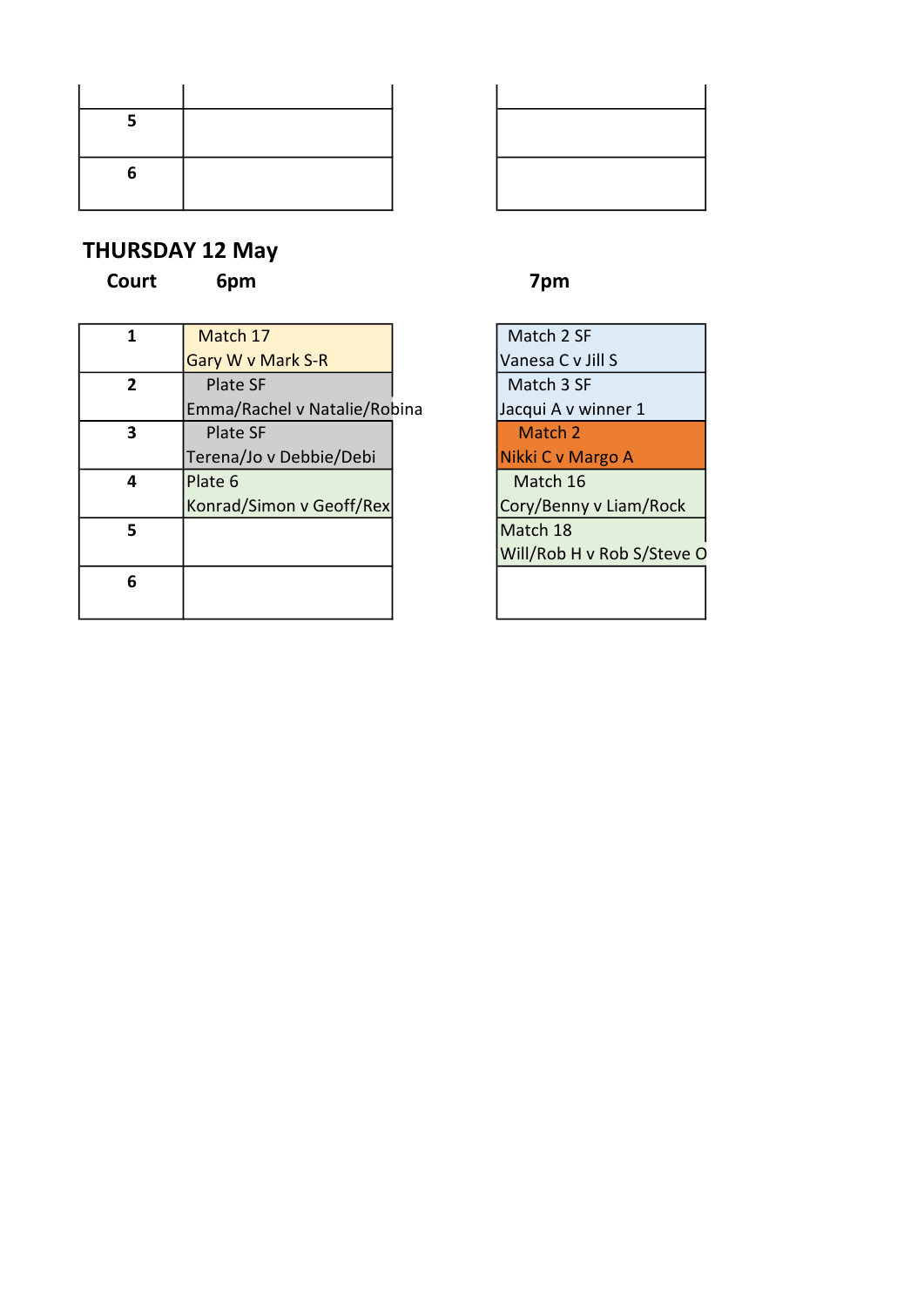| 5 |  |
|---|--|
|   |  |
| 6 |  |
|   |  |

### THURSDAY 12 May

Court 6pm 7pm

| 1 | Match 17                     |  |
|---|------------------------------|--|
|   | Gary W v Mark S-R            |  |
| 2 | Plate SF                     |  |
|   | Emma/Rachel v Natalie/Robina |  |
|   | <b>Plate SF</b>              |  |
|   | Terena/Jo v Debbie/Debi      |  |
| 4 | Plate 6                      |  |
|   | Konrad/Simon v Geoff/Rex     |  |
| 5 |                              |  |
| 6 |                              |  |
|   |                              |  |



Match 2 SF Vanesa C v Jill S Match 3 SF a  $\int$ Jacqui A v winner 1 Match 2 Nikki C v Margo A Match 16 Cory/Benny v Liam/Rock Match 18 Will/Rob H v Rob S/Steve O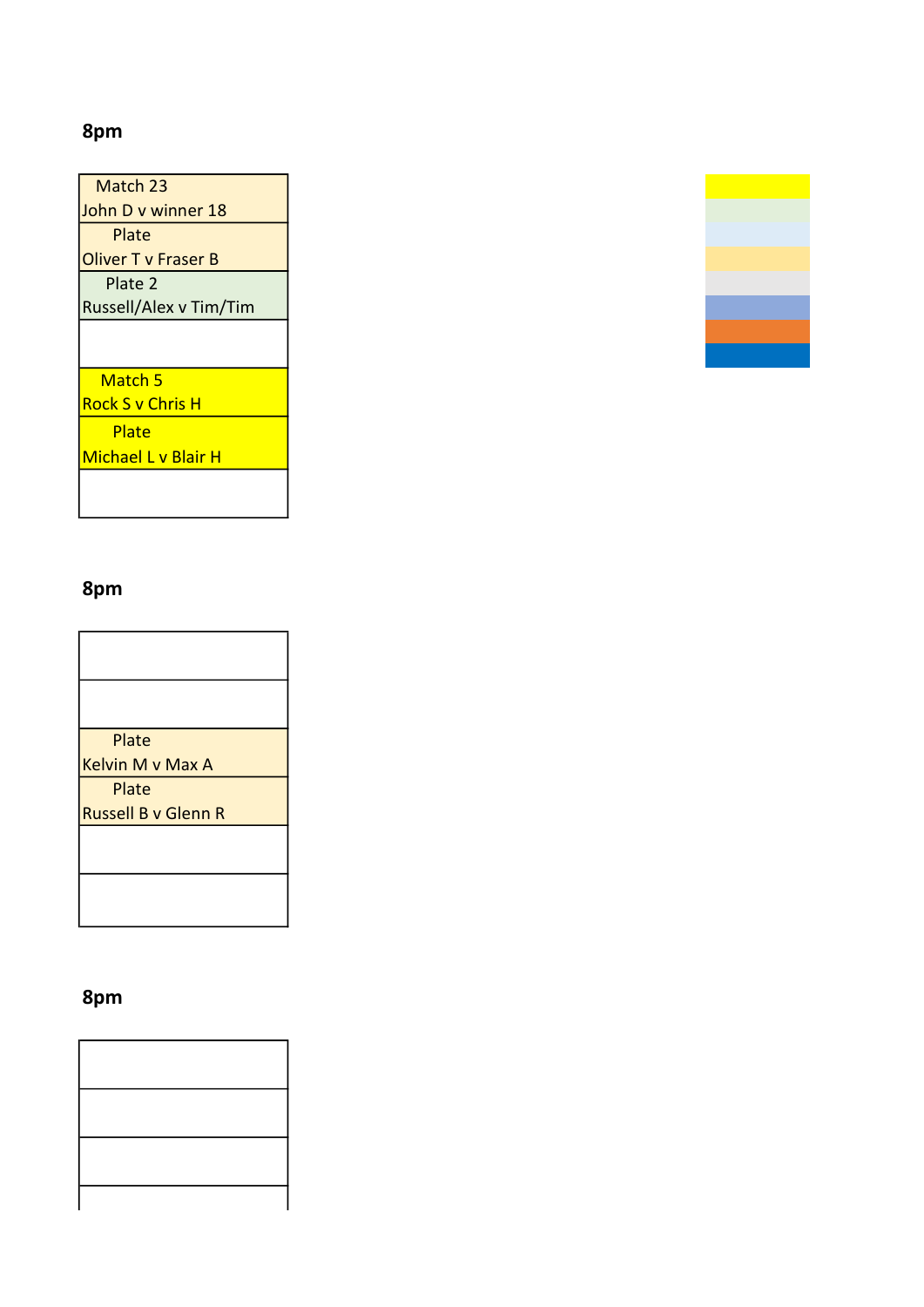## 8pm

| Match 23                   |
|----------------------------|
| John D v winner 18         |
| Plate                      |
| Oliver T v Fraser B        |
| Plate 2                    |
| Russell/Alex v Tim/Tim     |
|                            |
|                            |
| Match 5                    |
| <b>Rock S v Chris H</b>    |
| Plate                      |
| <b>Michael L v Blair H</b> |
|                            |
|                            |

## 8pm

 $\mathbf l$ 

| Plate                      |
|----------------------------|
| Kelvin M v Max A           |
| Plate                      |
| <b>Russell B v Glenn R</b> |
|                            |
|                            |
|                            |
|                            |

# 8pm

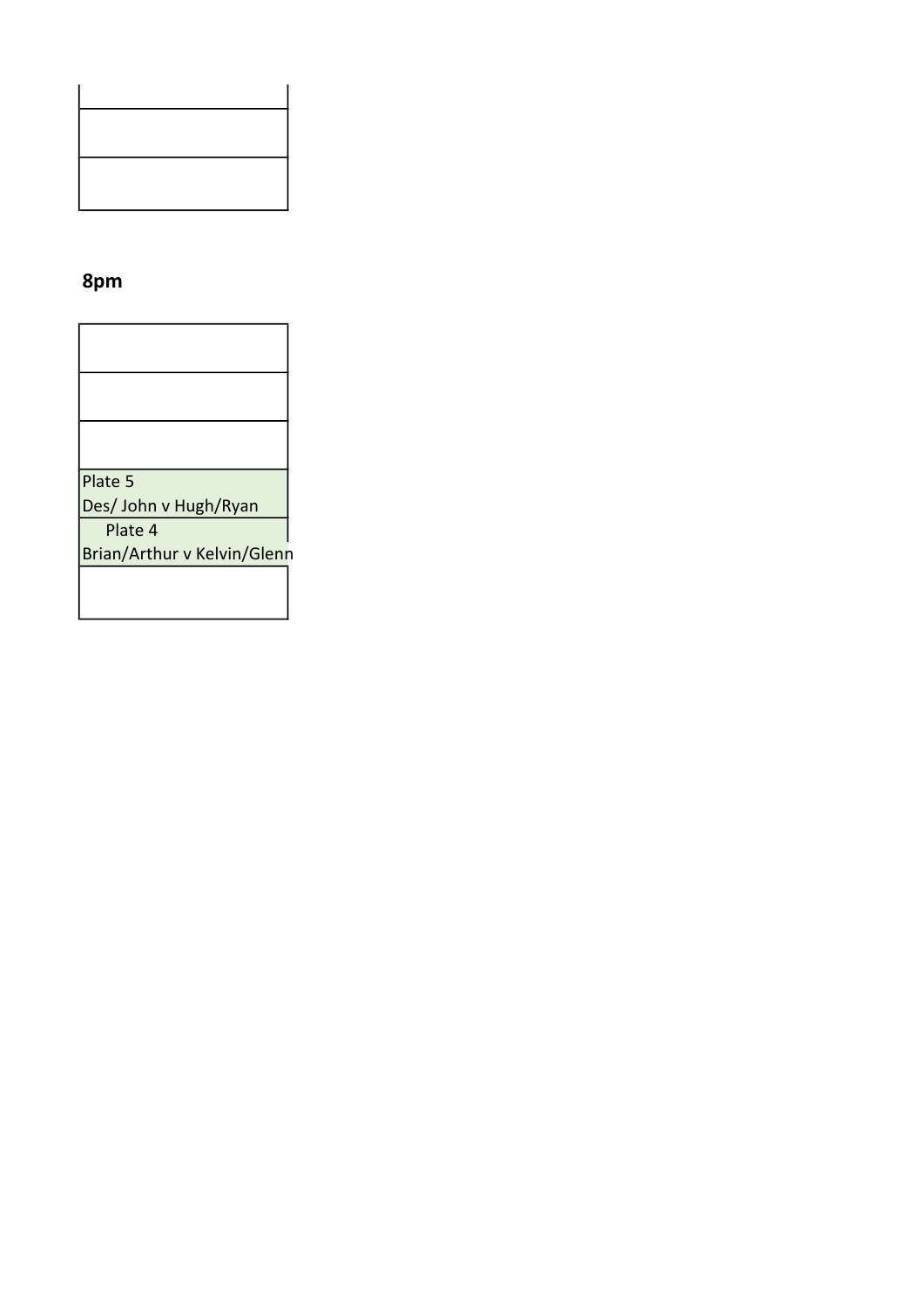### 8pm

| Plate 5                     |
|-----------------------------|
| Des/ John v Hugh/Ryan       |
| Plate 4                     |
| Brian/Arthur v Kelvin/Glenn |
|                             |
|                             |